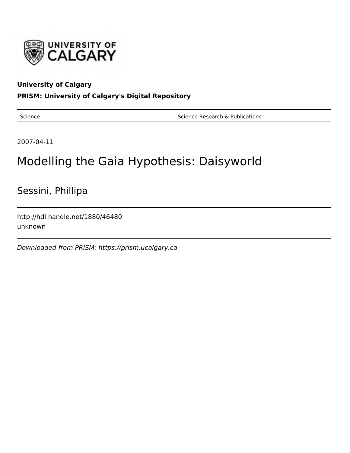

## **University of Calgary**

## **PRISM: University of Calgary's Digital Repository**

Science **Science Research & Publications** Science Research & Publications

2007-04-11

# Modelling the Gaia Hypothesis: Daisyworld

Sessini, Phillipa

http://hdl.handle.net/1880/46480 unknown

Downloaded from PRISM: https://prism.ucalgary.ca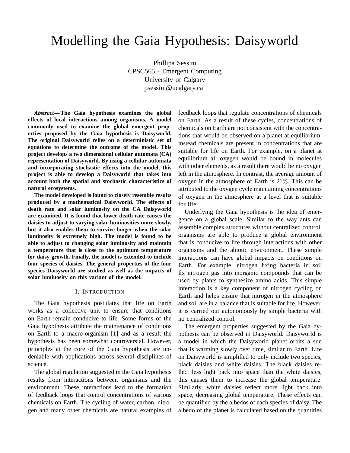## Modelling the Gaia Hypothesis: Daisyworld

Phillipa Sessini CPSC565 - Emergent Computing University of Calgary psessini@ucalgary.ca

*Abstract***— The Gaia hypothesis examines the global effects of local interactions among organisms. A model commonly used to examine the global emergent properties proposed by the Gaia hypothesis is Daisyworld. The original Daisyworld relies on a deterministic set of equations to determine the outcome of the model. This project develops a two dimensional cellular automata (CA) representation of Daisyworld. By using a cellular automata and incorporating stochastic effects into the model, this project is able to develop a Daisyworld that takes into account both the spatial and stochastic characteristics of natural ecosystems.**

**The model developed is found to closely resemble results produced by a mathematical Daisyworld. The effects of death rate and solar luminosity on the CA Daisyworld are examined. It is found that lower death rate causes the daisies to adjust to varying solar luminosities more slowly, but it also enables them to survive longer when the solar luminosity is extremely high. The model is found to be able to adjust to changing solar luminosity and maintain a temperature that is close to the optimum temperature for daisy growth. Finally, the model is extended to include four species of daisies. The general properties of the four species Daisyworld are studied as well as the impacts of solar luminosity on this variant of the model.**

#### I. INTRODUCTION

The Gaia hypothesis postulates that life on Earth works as a collective unit to ensure that conditions on Earth remain conducive to life. Some forms of the Gaia hypothesis attribute the maintenance of conditions on Earth to a macro-organism [1] and as a result the hypothesis has been somewhat controversial. However, principles at the core of the Gaia hypothesis are undeniable with applications across several disciplines of science.

The global regulation suggested in the Gaia hypothesis results from interactions between organisms and the environment. These interactions lead to the formation of feedback loops that control concentrations of various chemicals on Earth. The cycling of water, carbon, nitrogen and many other chemicals are natural examples of

feedback loops that regulate concentrations of chemicals on Earth. As a result of these cycles, concentrations of chemicals on Earth are not consistent with the concentrations that would be observed on a planet at equilibrium, instead chemicals are present in concentrations that are suitable for life on Earth. For example, on a planet at equilibrium all oxygen would be bound in molecules with other elements, as a result there would be no oxygen left in the atmosphere. In contrast, the average amount of oxygen in the atmosphere of Earth is 21%. This can be attributed to the oxygen cycle maintaining concentrations of oxygen in the atmosphere at a level that is suitable for life.

Underlying the Gaia hypothesis is the idea of emergence on a global scale. Similar to the way ants can assemble complex structures without centralized control, organisms are able to produce a global environment that is conducive to life through interactions with other organisms and the abiotic environment. These simple interactions can have global impacts on conditions on Earth. For example, nitrogen fixing bacteria in soil fix nitrogen gas into inorganic compounds that can be used by plants to synthesize amino acids. This simple interaction is a key component of nitrogen cycling on Earth and helps ensure that nitrogen in the atmosphere and soil are in a balance that is suitable for life. However, it is carried out autonomously by simple bacteria with no centralized control.

The emergent properties suggested by the Gaia hypothesis can be observed in Daisyworld. Daisyworld is a model in which the Daisyworld planet orbits a sun that is warming slowly over time, similar to Earth. Life on Daisyworld is simplified to only include two species, black daisies and white daisies. The black daisies reflect less light back into space than the white daisies, this causes them to increase the global temperature. Similarly, white daisies reflect more light back into space, decreasing global temperature. These effects can be quantified by the albedos of each species of daisy. The albedo of the planet is calculated based on the quantities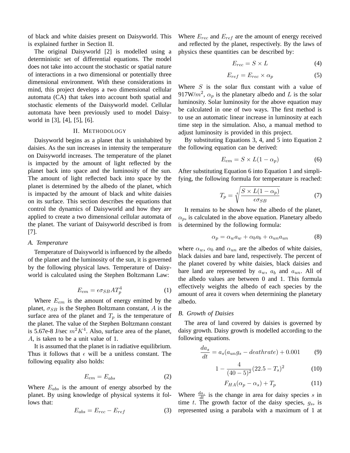of black and white daisies present on Daisyworld. This is explained further in Section II.

The original Daisyworld [2] is modelled using a deterministic set of differential equations. The model does not take into account the stochastic or spatial nature of interactions in a two dimensional or potentially three dimensional environment. With these considerations in mind, this project develops a two dimensional cellular automata (CA) that takes into account both spatial and stochastic elements of the Daisyworld model. Cellular automata have been previously used to model Daisyworld in [3], [4], [5], [6].

#### II. METHODOLOGY

Daisyworld begins as a planet that is uninhabited by daisies. As the sun increases in intensity the temperature on Daisyworld increases. The temperature of the planet is impacted by the amount of light reflected by the planet back into space and the luminosity of the sun. The amount of light reflected back into space by the planet is determined by the albedo of the planet, which is impacted by the amount of black and white daisies on its surface. This section describes the equations that control the dynamics of Daisyworld and how they are applied to create a two dimensional cellular automata of the planet. The variant of Daisyworld described is from [7].

#### *A. Temperature*

Temperature of Daisyworld is influenced by the albedo of the planet and the luminosity of the sun, it is governed by the following physical laws. Temperature of Daisyworld is calculated using the Stephen Boltzmann Law:

$$
E_{em} = \epsilon \sigma_{SB} A T_p^4 \tag{1}
$$

Where  $E_{em}$  is the amount of energy emitted by the planet,  $\sigma_{SB}$  is the Stephen Boltzmann constant, A is the surface area of the planet and  $T_p$  is the temperature of the planet. The value of the Stephen Boltzmann constant is 5.67e-8 J/sec  $m^2 K^4$ . Also, surface area of the planet, A, is taken to be a unit value of 1.

It is assumed that the planet is in radiative equilibrium. Thus it follows that  $\epsilon$  will be a unitless constant. The following equality also holds:

$$
E_{em} = E_{abs} \tag{2}
$$

Where  $E_{abs}$  is the amount of energy absorbed by the planet. By using knowledge of physical systems it follows that:

$$
E_{abs} = E_{rec} - E_{ref} \tag{3}
$$

Where  $E_{rec}$  and  $E_{ref}$  are the amount of energy received and reflected by the planet, respectively. By the laws of physics these quantities can be described by:

$$
E_{rec} = S \times L \tag{4}
$$

$$
E_{ref} = E_{rec} \times \alpha_p \tag{5}
$$

Where  $S$  is the solar flux constant with a value of 917W/ $m^2$ ,  $\alpha_p$  is the planetary albedo and L is the solar luminosity. Solar luminosity for the above equation may be calculated in one of two ways. The first method is to use an automatic linear increase in luminosity at each time step in the simulation. Also, a manual method to adjust luminosity is provided in this project.

By substituting Equations 3, 4, and 5 into Equation 2 the following equation can be derived:

$$
E_{em} = S \times L(1 - \alpha_p) \tag{6}
$$

After substituting Equation 6 into Equation 1 and simplifying, the following formula for temperature is reached:

$$
T_p = \sqrt[4]{\frac{S \times L(1 - \alpha_p)}{\epsilon \sigma_{SB}}} \tag{7}
$$

It remains to be shown how the albedo of the planet,  $\alpha_p$ , is calculated in the above equation. Planetary albedo is determined by the following formula:

$$
\alpha_p = \alpha_w a_w + \alpha_b a_b + \alpha_{un} a_{un}
$$
 (8)

where  $\alpha_w$ ,  $\alpha_b$  and  $\alpha_{un}$  are the albedos of white daisies, black daisies and bare land, respectively. The percent of the planet covered by white daisies, black daisies and bare land are represented by  $a_w$ ,  $a_b$  and  $a_{un}$ . All of the albedo values are between 0 and 1. This formula effectively weights the albedo of each species by the amount of area it covers when determining the planetary albedo.

#### *B. Growth of Daisies*

The area of land covered by daisies is governed by daisy growth. Daisy growth is modelled according to the following equations.

$$
\frac{da_s}{dt} = a_s(a_{un}g_s - deathrate) + 0.001\tag{9}
$$

$$
1 - \frac{4}{(40 - 5)^2} (22.5 - T_s)^2 \tag{10}
$$

$$
F_{HA}(\alpha_p - \alpha_s) + T_p \tag{11}
$$

Where  $\frac{da_s}{dt}$  is the change in area for daisy species s in time t. The growth factor of the daisy species,  $g_s$ , is represented using a parabola with a maximum of 1 at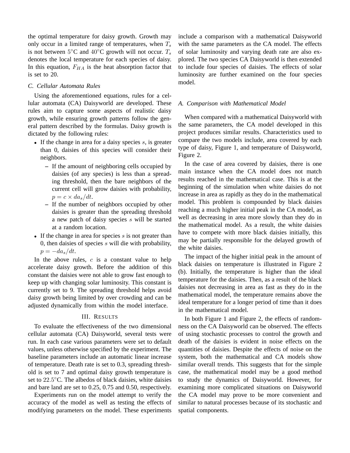the optimal temperature for daisy growth. Growth may only occur in a limited range of temperatures, when  $T_s$ is not between  $5^{\circ}$ C and  $40^{\circ}$ C growth will not occur.  $T_s$ denotes the local temperature for each species of daisy. In this equation,  $F_{HA}$  is the heat absorption factor that is set to 20.

#### *C. Cellular Automata Rules*

Using the aforementioned equations, rules for a cellular automata (CA) Daisyworld are developed. These rules aim to capture some aspects of realistic daisy growth, while ensuring growth patterns follow the general pattern described by the formulas. Daisy growth is dictated by the following rules:

- If the change in area for a daisy species  $s$ , is greater than 0, daisies of this species will consider their neighbors.
	- **–** If the amount of neighboring cells occupied by daisies (of any species) is less than a spreading threshold, then the bare neighbors of the current cell will grow daisies with probability,  $p = c \times da_s/dt$ .
	- **–** If the number of neighbors occupied by other daisies is greater than the spreading threshold a new patch of daisy species s will be started at a random location.
- If the change in area for species  $s$  is not greater than 0, then daisies of species  $s$  will die with probability,  $p = -da_s/dt$ .

In the above rules,  $c$  is a constant value to help accelerate daisy growth. Before the addition of this constant the daisies were not able to grow fast enough to keep up with changing solar luminosity. This constant is currently set to 9. The spreading threshold helps avoid daisy growth being limited by over crowding and can be adjusted dynamically from within the model interface.

#### III. RESULTS

To evaluate the effectiveness of the two dimensional cellular automata (CA) Daisyworld, several tests were run. In each case various parameters were set to default values, unless otherwise specified by the experiment. The baseline parameters include an automatic linear increase of temperature. Death rate is set to 0.3, spreading threshold is set to 7 and optimal daisy growth temperature is set to 22.5°C. The albedos of black daisies, white daisies and bare land are set to 0.25, 0.75 and 0.50, respectively.

Experiments run on the model attempt to verify the accuracy of the model as well as testing the effects of modifying parameters on the model. These experiments include a comparison with a mathematical Daisyworld with the same parameters as the CA model. The effects of solar luminosity and varying death rate are also explored. The two species CA Daisyworld is then extended to include four species of daisies. The effects of solar luminosity are further examined on the four species model.

#### *A. Comparison with Mathematical Model*

When compared with a mathematical Daisyworld with the same parameters, the CA model developed in this project produces similar results. Characteristics used to compare the two models include, area covered by each type of daisy, Figure 1, and temperature of Daisyworld, Figure 2.

In the case of area covered by daisies, there is one main instance when the CA model does not match results reached in the mathematical case. This is at the beginning of the simulation when white daisies do not increase in area as rapidly as they do in the mathematical model. This problem is compounded by black daisies reaching a much higher initial peak in the CA model, as well as decreasing in area more slowly than they do in the mathematical model. As a result, the white daisies have to compete with more black daisies initially, this may be partially responsible for the delayed growth of the white daisies.

The impact of the higher initial peak in the amount of black daisies on temperature is illustrated in Figure 2 (b). Initially, the temperature is higher than the ideal temperature for the daisies. Then, as a result of the black daisies not decreasing in area as fast as they do in the mathematical model, the temperature remains above the ideal temperature for a longer period of time than it does in the mathematical model.

In both Figure 1 and Figure 2, the effects of randomness on the CA Daisyworld can be observed. The effects of using stochastic processes to control the growth and death of the daisies is evident in noise effects on the quantities of daisies. Despite the effects of noise on the system, both the mathematical and CA models show similar overall trends. This suggests that for the simple case, the mathematical model may be a good method to study the dynamics of Daisyworld. However, for examining more complicated situations on Daisyworld the CA model may prove to be more convenient and similar to natural processes because of its stochastic and spatial components.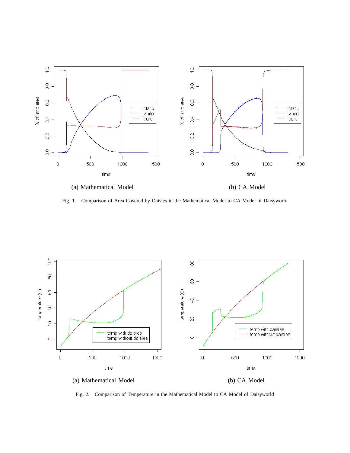

Fig. 1. Comparison of Area Covered by Daisies in the Mathematical Model to CA Model of Daisyworld



Fig. 2. Comparison of Temperature in the Mathematical Model to CA Model of Daisyworld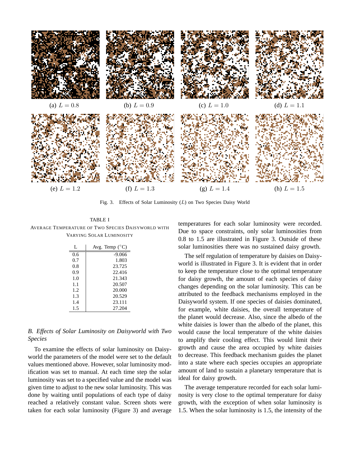

Fig. 3. Effects of Solar Luminosity  $(L)$  on Two Species Daisy World

#### TABLE I AVERAGE TEMPERATURE OF TWO SPECIES DAISYWORLD WITH VARYING SOLAR LUMINOSITY

| L    | Avg. Temp $(^{\circ}C)$ |
|------|-------------------------|
| 0.6  | $-9.066$                |
| 0.7  | 1.803                   |
| 0.8  | 23.725                  |
| 0.9  | 22.416                  |
| 1.0  | 21.343                  |
| 1.1  | 20.507                  |
| 1.2. | 20.000                  |
| 1.3  | 20.529                  |
| 14   | 23.111                  |
| 1.5  | 27.204                  |

#### *B. Effects of Solar Luminosity on Daisyworld with Two Species*

To examine the effects of solar luminosity on Daisyworld the parameters of the model were set to the default values mentioned above. However, solar luminosity modification was set to manual. At each time step the solar luminosity was set to a specified value and the model was given time to adjust to the new solar luminosity. This was done by waiting until populations of each type of daisy reached a relatively constant value. Screen shots were taken for each solar luminosity (Figure 3) and average

temperatures for each solar luminosity were recorded. Due to space constraints, only solar luminosities from 0.8 to 1.5 are illustrated in Figure 3. Outside of these solar luminosities there was no sustained daisy growth.

The self regulation of temperature by daisies on Daisyworld is illustrated in Figure 3. It is evident that in order to keep the temperature close to the optimal temperature for daisy growth, the amount of each species of daisy changes depending on the solar luminosity. This can be attributed to the feedback mechanisms employed in the Daisyworld system. If one species of daisies dominated, for example, white daisies, the overall temperature of the planet would decrease. Also, since the albedo of the white daisies is lower than the albedo of the planet, this would cause the local temperature of the white daisies to amplify their cooling effect. This would limit their growth and cause the area occupied by white daisies to decrease. This feedback mechanism guides the planet into a state where each species occupies an appropriate amount of land to sustain a planetary temperature that is ideal for daisy growth.

The average temperature recorded for each solar luminosity is very close to the optimal temperature for daisy growth, with the exception of when solar luminosity is 1.5. When the solar luminosity is 1.5, the intensity of the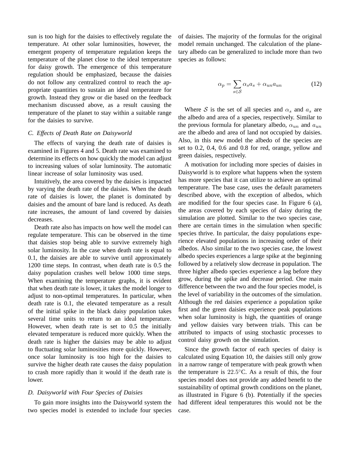sun is too high for the daisies to effectively regulate the temperature. At other solar luminosities, however, the emergent property of temperature regulation keeps the temperature of the planet close to the ideal temperature for daisy growth. The emergence of this temperature regulation should be emphasized, because the daisies do not follow any centralized control to reach the appropriate quantities to sustain an ideal temperature for growth. Instead they grow or die based on the feedback mechanism discussed above, as a result causing the temperature of the planet to stay within a suitable range for the daisies to survive.

#### *C. Effects of Death Rate on Daisyworld*

The effects of varying the death rate of daisies is examined in Figures 4 and 5. Death rate was examined to determine its effects on how quickly the model can adjust to increasing values of solar luminosity. The automatic linear increase of solar luminosity was used.

Intuitively, the area covered by the daisies is impacted by varying the death rate of the daisies. When the death rate of daisies is lower, the planet is dominated by daisies and the amount of bare land is reduced. As death rate increases, the amount of land covered by daisies decreases.

Death rate also has impacts on how well the model can regulate temperature. This can be observed in the time that daisies stop being able to survive extremely high solar luminosity. In the case when death rate is equal to 0.1, the daisies are able to survive until approximately 1200 time steps. In contrast, when death rate is 0.5 the daisy population crashes well below 1000 time steps. When examining the temperature graphs, it is evident that when death rate is lower, it takes the model longer to adjust to non-optimal temperatures. In particular, when death rate is 0.1, the elevated temperature as a result of the initial spike in the black daisy population takes several time units to return to an ideal temperature. However, when death rate is set to 0.5 the initially elevated temperature is reduced more quickly. When the death rate is higher the daisies may be able to adjust to fluctuating solar luminosities more quickly. However, once solar luminosity is too high for the daisies to survive the higher death rate causes the daisy population to crash more rapidly than it would if the death rate is lower.

#### *D. Daisyworld with Four Species of Daisies*

To gain more insights into the Daisyworld system the two species model is extended to include four species of daisies. The majority of the formulas for the original model remain unchanged. The calculation of the planetary albedo can be generalized to include more than two species as follows:

$$
\alpha_p = \sum_{s \in \mathcal{S}} \alpha_s a_s + \alpha_{un} a_{un} \tag{12}
$$

Where S is the set of all species and  $\alpha_s$  and  $\alpha_s$  are the albedo and area of a species, respectively. Similar to the previous formula for planetary albedo,  $\alpha_{un}$  and  $a_{un}$ are the albedo and area of land not occupied by daisies. Also, in this new model the albedo of the species are set to 0.2, 0.4, 0.6 and 0.8 for red, orange, yellow and green daisies, respectively.

A motivation for including more species of daisies in Daisyworld is to explore what happens when the system has more species that it can utilize to achieve an optimal temperature. The base case, uses the default parameters described above, with the exception of albedos, which are modified for the four species case. In Figure 6 (a), the areas covered by each species of daisy during the simulation are plotted. Similar to the two species case, there are certain times in the simulation when specific species thrive. In particular, the daisy populations experience elevated populations in increasing order of their albedos. Also similar to the two species case, the lowest albedo species experiences a large spike at the beginning followed by a relatively slow decrease in population. The three higher albedo species experience a lag before they grow, during the spike and decrease period. One main difference between the two and the four species model, is the level of variability in the outcomes of the simulation. Although the red daisies experience a population spike first and the green daisies experience peak populations when solar luminosity is high, the quantities of orange and yellow daisies vary between trials. This can be attributed to impacts of using stochastic processes to control daisy growth on the simulation.

Since the growth factor of each species of daisy is calculated using Equation 10, the daisies still only grow in a narrow range of temperature with peak growth when the temperature is  $22.5^{\circ}$ C. As a result of this, the four species model does not provide any added benefit to the sustainability of optimal growth conditions on the planet, as illustrated in Figure 6 (b). Potentially if the species had different ideal temperatures this would not be the case.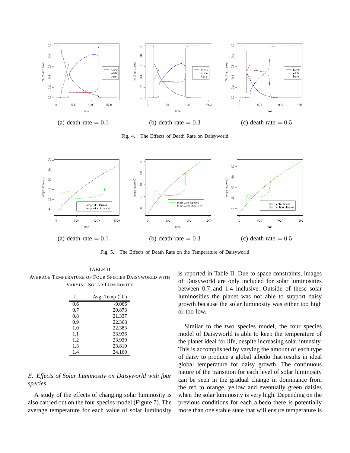

Fig. 4. The Effects of Death Rate on Daisyworld



Fig. 5. The Effects of Death Rate on the Temperature of Daisyworld

TABLE II AVERAGE TEMPERATURE OF FOUR SPECIES DAISYWORLD WITH VARYING SOLAR LUMINOSITY

| L   | Avg. Temp $(^{\circ}C)$ |
|-----|-------------------------|
| 0.6 | $-9.066$                |
| 0.7 | 20.873                  |
| 0.8 | 21.337                  |
| 0.9 | 22.368                  |
| 1.0 | 22.383                  |
| 1.1 | 23.936                  |
| 1.2 | 23.939                  |
| 1.3 | 23.810                  |
| 1.4 | 24.160                  |

*E. Effects of Solar Luminosity on Daisyworld with four species*

A study of the effects of changing solar luminosity is also carried out on the four species model (Figure 7). The average temperature for each value of solar luminosity is reported in Table II. Due to space constraints, images of Daisyworld are only included for solar luminosities between 0.7 and 1.4 inclusive. Outside of these solar luminosities the planet was not able to support daisy growth because the solar luminosity was either too high or too low.

Similar to the two species model, the four species model of Daisyworld is able to keep the temperature of the planet ideal for life, despite increasing solar intensity. This is accomplished by varying the amount of each type of daisy to produce a global albedo that results in ideal global temperature for daisy growth. The continuous nature of the transition for each level of solar luminosity can be seen in the gradual change in dominance from the red to orange, yellow and eventually green daisies when the solar luminosity is very high. Depending on the previous conditions for each albedo there is potentially more than one stable state that will ensure temperature is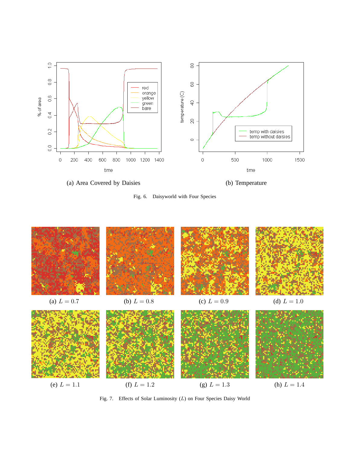









Fig. 7. Effects of Solar Luminosity (L) on Four Species Daisy World